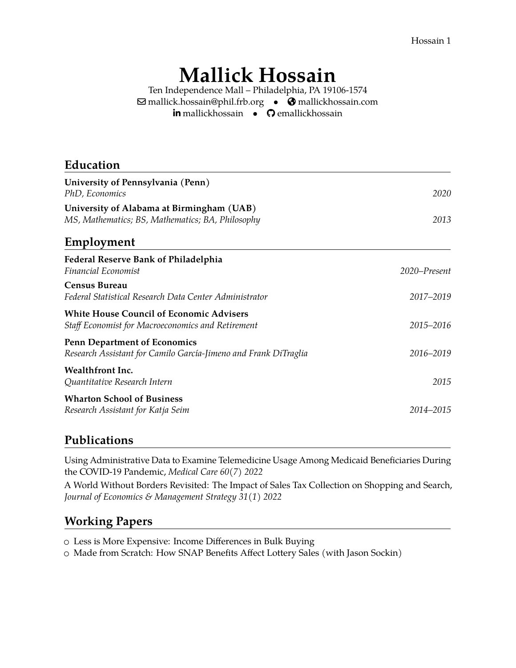Hossain 1

# **Mallick Hossain**

Ten Independence Mall – Philadelphia, PA 19106-1574  $\boxdot$  [mallick.hossain@phil.frb.org](mailto:mallick.hossain@phil.frb.org) •  $\bigcirc$  [mallickhossain.com](https://mallickhossain.com) in [mallickhossain](https://www.linkedin.com/in/mallickhossain) • © [emallickhossain](https://github.com/emallickhossain)

| Education                                                                                              |              |
|--------------------------------------------------------------------------------------------------------|--------------|
| University of Pennsylvania (Penn)<br>PhD, Economics                                                    | 2020         |
| University of Alabama at Birmingham (UAB)<br>MS, Mathematics; BS, Mathematics; BA, Philosophy          | 2013         |
| Employment                                                                                             |              |
| Federal Reserve Bank of Philadelphia<br>Financial Economist                                            | 2020-Present |
| <b>Census Bureau</b><br>Federal Statistical Research Data Center Administrator                         | 2017-2019    |
| <b>White House Council of Economic Advisers</b><br>Staff Economist for Macroeconomics and Retirement   | 2015-2016    |
| <b>Penn Department of Economics</b><br>Research Assistant for Camilo García-Jimeno and Frank DiTraglia | 2016-2019    |
| Wealthfront Inc.<br>Quantitative Research Intern                                                       | 2015         |
| <b>Wharton School of Business</b><br>Research Assistant for Katja Seim                                 | 2014–2015    |
|                                                                                                        |              |

## **Publications**

Using Administrative Data to Examine Telemedicine Usage Among Medicaid Beneficiaries During the COVID-19 Pandemic, *Medical Care 60(7) 2022*

[A World Without Borders Revisited: The Impact of Sales Tax Collection on Shopping and Search,](https://onlinelibrary.wiley.com/doi/10.1111/jems.12453) *[Journal of Economics & Management Strategy 31\(1\) 2022](https://onlinelibrary.wiley.com/doi/10.1111/jems.12453)*

## **Working Papers**

○ [Less is More Expensive: Income Differences in Bulk Buying](https://www.mallickhossain.com/files/BulkBuyingInequality.pdf)

○ Made from Scratch: How SNAP Benefits Affect Lottery Sales (with Jason Sockin)